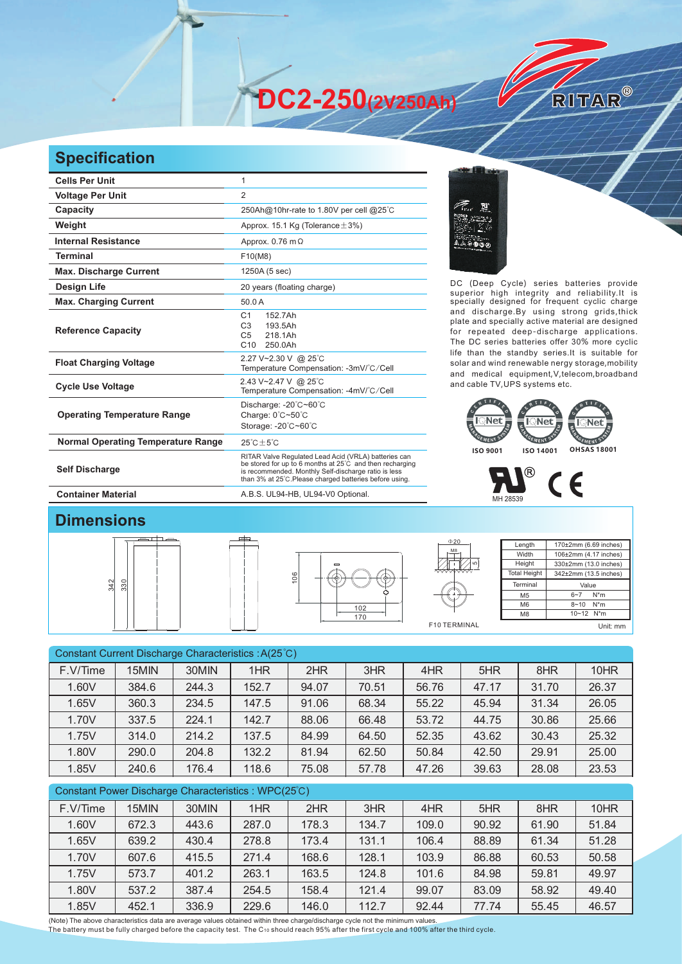**DC2-250(2V250Ah)** 

## **Specification**

| <b>Cells Per Unit</b>                     | 1                                                                                                                                                                                                                                   |  |  |  |  |  |
|-------------------------------------------|-------------------------------------------------------------------------------------------------------------------------------------------------------------------------------------------------------------------------------------|--|--|--|--|--|
| <b>Voltage Per Unit</b>                   | $\overline{2}$                                                                                                                                                                                                                      |  |  |  |  |  |
| Capacity                                  | 250Ah@10hr-rate to 1.80V per cell @25°C                                                                                                                                                                                             |  |  |  |  |  |
| Weight                                    | Approx. 15.1 Kg (Tolerance $\pm$ 3%)                                                                                                                                                                                                |  |  |  |  |  |
| <b>Internal Resistance</b>                | Approx. $0.76$ m $\Omega$                                                                                                                                                                                                           |  |  |  |  |  |
| <b>Terminal</b>                           | F10(M8)                                                                                                                                                                                                                             |  |  |  |  |  |
| <b>Max. Discharge Current</b>             | 1250A (5 sec)                                                                                                                                                                                                                       |  |  |  |  |  |
| <b>Design Life</b>                        | 20 years (floating charge)                                                                                                                                                                                                          |  |  |  |  |  |
| <b>Max. Charging Current</b>              | 50.0A                                                                                                                                                                                                                               |  |  |  |  |  |
| <b>Reference Capacity</b>                 | 152.7Ah<br>C <sub>1</sub><br>C <sub>3</sub><br>193.5Ah<br>218.1Ah<br>C <sub>5</sub><br>C10<br>250.0Ah                                                                                                                               |  |  |  |  |  |
| <b>Float Charging Voltage</b>             | 2.27 V~2.30 V @ 25°C<br>Temperature Compensation: -3mV/°C/Cell                                                                                                                                                                      |  |  |  |  |  |
| <b>Cycle Use Voltage</b>                  | 2.43 V~2.47 V @ 25°C<br>Temperature Compensation: -4mV/°C/Cell                                                                                                                                                                      |  |  |  |  |  |
| <b>Operating Temperature Range</b>        | Discharge: -20°C~60°C<br>Charge: 0°C~50°C<br>Storage: -20°C~60°C                                                                                                                                                                    |  |  |  |  |  |
| <b>Normal Operating Temperature Range</b> | $25^{\circ}$ C + $5^{\circ}$ C                                                                                                                                                                                                      |  |  |  |  |  |
| <b>Self Discharge</b>                     | RITAR Valve Regulated Lead Acid (VRLA) batteries can<br>be stored for up to 6 months at 25°C and then recharging<br>is recommended. Monthly Self-discharge ratio is less<br>than 3% at 25°C. Please charged batteries before using. |  |  |  |  |  |
| <b>Container Material</b>                 | A.B.S. UL94-HB, UL94-V0 Optional.                                                                                                                                                                                                   |  |  |  |  |  |



DC (Deep Cycle) series batteries provide superior high integrity and reliability.It is specially designed for frequent cyclic charge and discharge.By using strong grids,thick plate and specially active material are designed for repeated deep-discharge applications. The DC series batteries offer 30% more cyclic life than the standby series.It is suitable for solar and wind renewable nergy storage,mobility and medical equipment,V,telecom,broadband and cable TV,UPS systems etc.

RITAR®





## **Dimensions**



| 106          |
|--------------|
| $102$<br>170 |



| Length              | 170±2mm (6.69 inches) |  |  |  |  |  |
|---------------------|-----------------------|--|--|--|--|--|
| Width               | 106±2mm (4.17 inches) |  |  |  |  |  |
| Height              | 330±2mm (13.0 inches) |  |  |  |  |  |
| <b>Total Height</b> | 342±2mm (13.5 inches) |  |  |  |  |  |
| Terminal            | Value                 |  |  |  |  |  |
| M <sub>5</sub>      | $N^*m$<br>$6 - 7$     |  |  |  |  |  |
| M <sub>6</sub>      | $N^*m$<br>$8 - 10$    |  |  |  |  |  |
| M <sub>8</sub>      | 10~12 N*m             |  |  |  |  |  |
|                     | Unit: mm              |  |  |  |  |  |

Constant Current Discharge Characteristics : A(25℃) F.V/Time | 15MIN | 30MIN | 1HR | 2HR | 3HR | 4HR | 5HR | 8HR | 10HR 1.60V 384.6 244.3 152.7 94.07 70.51 56.76 47.17 31.70 26.37 1.65V 360.3 234.5 147.5 91.06 68.34 55.22 45.94 31.34 26.05 1.70V | 337.5 | 224.1 | 142.7 | 88.06 | 66.48 | 53.72 | 44.75 | 30.86 | 25.66 1.75V | 314.0 | 214.2 | 137.5 | 84.99 | 64.50 | 52.35 | 43.62 | 30.43 | 25.32 1.80V 290.0 204.8 132.2 81.94 62.50 50.84 42.50 29.91 25.00 1.85V 240.6 176.4 118.6 75.08 57.78 47.26 39.63 28.08 23.53

| Constant Power Discharge Characteristics: WPC(25°C) |       |       |       |       |       |       |       |       |       |
|-----------------------------------------------------|-------|-------|-------|-------|-------|-------|-------|-------|-------|
| F.V/Time                                            | 15MIN | 30MIN | 1HR   | 2HR   | 3HR   | 4HR   | 5HR   | 8HR   | 10HR  |
| 1.60V                                               | 672.3 | 443.6 | 287.0 | 178.3 | 134.7 | 109.0 | 90.92 | 61.90 | 51.84 |
| 1.65V                                               | 639.2 | 430.4 | 278.8 | 173.4 | 131.1 | 106.4 | 88.89 | 61.34 | 51.28 |
| 1.70V                                               | 607.6 | 415.5 | 271.4 | 168.6 | 128.1 | 103.9 | 86.88 | 60.53 | 50.58 |
| 1.75V                                               | 573.7 | 401.2 | 263.1 | 163.5 | 124.8 | 101.6 | 84.98 | 59.81 | 49.97 |
| 1.80V                                               | 537.2 | 387.4 | 254.5 | 158.4 | 121.4 | 99.07 | 83.09 | 58.92 | 49.40 |
| 1.85V                                               | 452.1 | 336.9 | 229.6 | 146.0 | 112.7 | 92.44 | 77.74 | 55.45 | 46.57 |
|                                                     |       |       |       |       |       |       |       |       |       |

(Note) The above characteristics data are average values obtained within three charge/discharge cycle not the minimum values. The battery must be fully charged before the capacity test. The C10 should reach 95% after the first cycle and 100% after the third cycle.